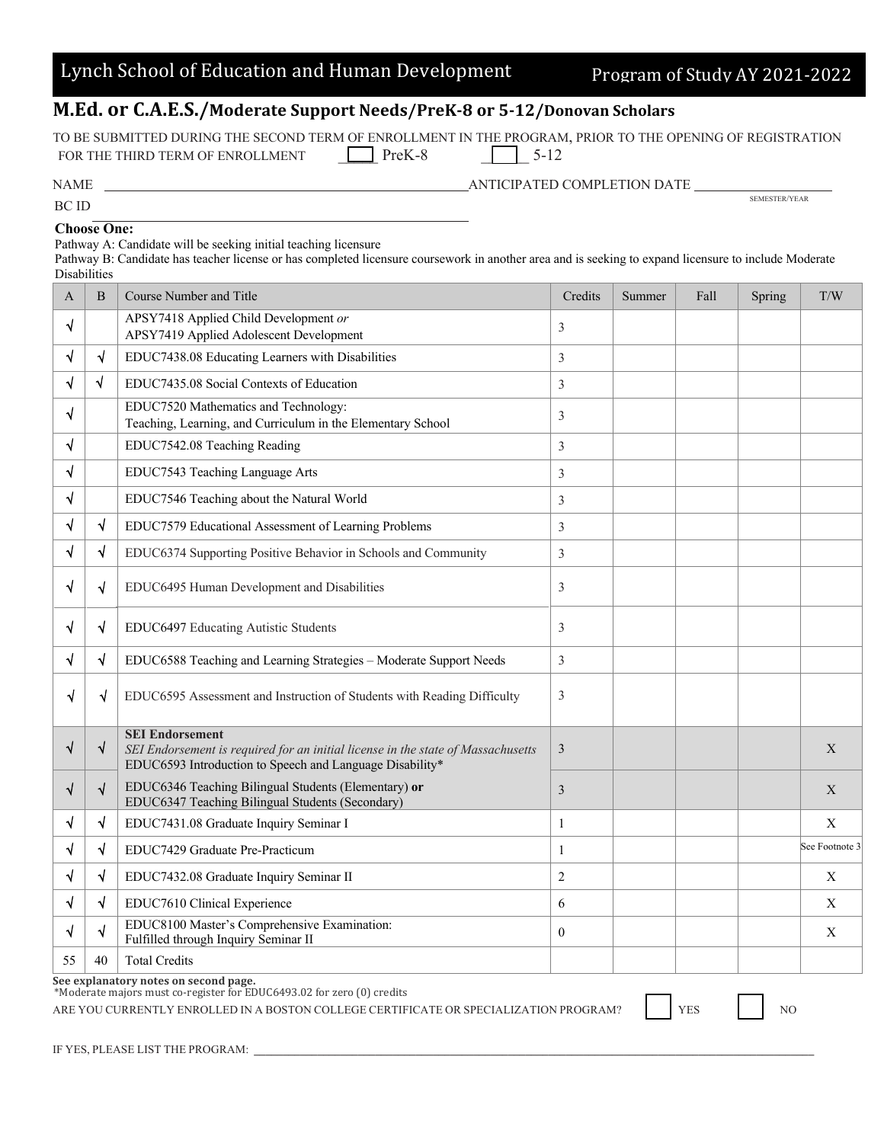|  | Fulfilled through Inquiry Semin |  |
|--|---------------------------------|--|
|  |                                 |  |

ARE YOU CURRENTLY ENROLLED IN A BOSTON COLLEGE CERTIFICATE OR SPECIALIZATION PROGRAM?  $\vert$  YES  $\vert$  NO

## Lynch School of Education and Human Development Program of Study AY 2021-2022

## **M.Ed. or C.A.E.S./Moderate Support Needs/PreK-8 or 5-12/Donovan Scholars**

TO BE SUBMITTED DURING THE SECOND TERM OF ENROLLMENT IN THE PROGRAM, PRIOR TO THE OPENING OF REGISTRATION<br>FOR THE THIRD TERM OF ENROLI MENT  $\Box$  PreK-8  $\Box$  5-12  $\Box$  5-12 FOR THE THIRD TERM OF ENROLLMENT

| TON THE THIND TENN OF ENNOLLMENT | 110N <sub>0</sub> | J – 12                      |               |
|----------------------------------|-------------------|-----------------------------|---------------|
| <b>NAME</b>                      |                   | ANTICIPATED COMPLETION DATE |               |
| BC ID                            |                   |                             | SEMESTER/YEAR |

## **Choose One:**

Pathway A: Candidate will be seeking initial teaching licensure

Pathway B: Candidate has teacher license or has completed licensure coursework in another area and is seeking to expand licensure to include Moderate **Disabilities** 

| A  | B          | <b>Course Number and Title</b>                                                                                                                                         | Credits        | Summer | Fall | Spring | T/W            |
|----|------------|------------------------------------------------------------------------------------------------------------------------------------------------------------------------|----------------|--------|------|--------|----------------|
| √  |            | APSY7418 Applied Child Development or<br>APSY7419 Applied Adolescent Development                                                                                       | 3              |        |      |        |                |
| √  | √          | EDUC7438.08 Educating Learners with Disabilities                                                                                                                       | 3              |        |      |        |                |
|    | $\sqrt{ }$ | EDUC7435.08 Social Contexts of Education                                                                                                                               | 3              |        |      |        |                |
| √  |            | EDUC7520 Mathematics and Technology:<br>Teaching, Learning, and Curriculum in the Elementary School                                                                    | 3              |        |      |        |                |
| √  |            | EDUC7542.08 Teaching Reading                                                                                                                                           | 3              |        |      |        |                |
| √  |            | EDUC7543 Teaching Language Arts                                                                                                                                        | 3              |        |      |        |                |
| √  |            | EDUC7546 Teaching about the Natural World                                                                                                                              | 3              |        |      |        |                |
|    | $\sqrt{ }$ | EDUC7579 Educational Assessment of Learning Problems                                                                                                                   | 3              |        |      |        |                |
|    | $\sqrt{ }$ | EDUC6374 Supporting Positive Behavior in Schools and Community                                                                                                         | 3              |        |      |        |                |
| √  | $\sqrt{ }$ | EDUC6495 Human Development and Disabilities                                                                                                                            | 3              |        |      |        |                |
| √  | N          | EDUC6497 Educating Autistic Students                                                                                                                                   | $\overline{3}$ |        |      |        |                |
|    | $\sqrt{}$  | EDUC6588 Teaching and Learning Strategies - Moderate Support Needs                                                                                                     | $\overline{3}$ |        |      |        |                |
| √  | √          | EDUC6595 Assessment and Instruction of Students with Reading Difficulty                                                                                                | 3              |        |      |        |                |
| √  | $\sqrt{}$  | <b>SEI Endorsement</b><br>SEI Endorsement is required for an initial license in the state of Massachusetts<br>EDUC6593 Introduction to Speech and Language Disability* | $\mathfrak{Z}$ |        |      |        | X              |
| √  | $\sqrt{}$  | EDUC6346 Teaching Bilingual Students (Elementary) or<br>EDUC6347 Teaching Bilingual Students (Secondary)                                                               | 3              |        |      |        | X              |
| √  | √          | EDUC7431.08 Graduate Inquiry Seminar I                                                                                                                                 | $\mathbf{1}$   |        |      |        | X              |
|    | $\sqrt{}$  | EDUC7429 Graduate Pre-Practicum                                                                                                                                        | $\mathbf{1}$   |        |      |        | See Footnote 3 |
|    | $\sqrt{ }$ | EDUC7432.08 Graduate Inquiry Seminar II                                                                                                                                | $\overline{c}$ |        |      |        | X              |
|    | $\sqrt{}$  | EDUC7610 Clinical Experience                                                                                                                                           | 6              |        |      |        | Χ              |
| √  | $\sqrt{}$  | EDUC8100 Master's Comprehensive Examination:<br>Fulfilled through Inquiry Seminar II                                                                                   | $\theta$       |        |      |        | Χ              |
| 55 | 40         | <b>Total Credits</b>                                                                                                                                                   |                |        |      |        |                |